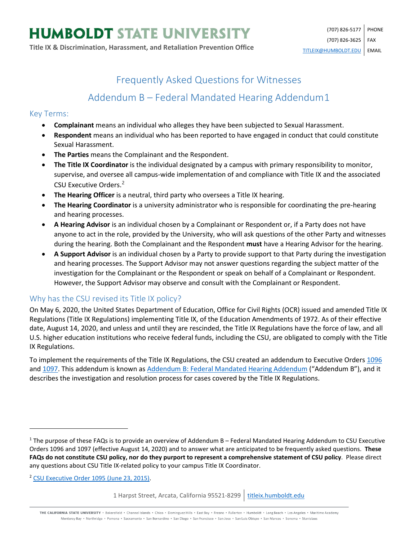## Frequently Asked Questions for Witnesses

# Addendum B – Federal Mandated Hearing Addendum[1](#page-0-0)

#### Key Terms:

- **Complainant** means an individual who alleges they have been subjected to Sexual Harassment.
- **Respondent** means an individual who has been reported to have engaged in conduct that could constitute Sexual Harassment.
- **The Parties** means the Complainant and the Respondent.
- **The Title IX Coordinator** is the individual designated by a campus with primary responsibility to monitor, supervise, and oversee all campus-wide implementation of and compliance with Title IX and the associated CSU Executive Orders.<sup>[2](#page-0-1)</sup>
- **The Hearing Officer** is a neutral, third party who oversees a Title IX hearing.
- **The Hearing Coordinator** is a university administrator who is responsible for coordinating the pre-hearing and hearing processes.
- **A Hearing Advisor** is an individual chosen by a Complainant or Respondent or, if a Party does not have anyone to act in the role, provided by the University, who will ask questions of the other Party and witnesses during the hearing. Both the Complainant and the Respondent **must** have a Hearing Advisor for the hearing.
- **A Support Advisor** is an individual chosen by a Party to provide support to that Party during the investigation and hearing processes. The Support Advisor may not answer questions regarding the subject matter of the investigation for the Complainant or the Respondent or speak on behalf of a Complainant or Respondent. However, the Support Advisor may observe and consult with the Complainant or Respondent.

#### Why has the CSU revised its Title IX policy?

On May 6, 2020, the United States Department of Education, Office for Civil Rights (OCR) issued and amended Title IX Regulations (Title IX Regulations) implementing Title IX, of the Education Amendments of 1972. As of their effective date, August 14, 2020, and unless and until they are rescinded, the Title IX Regulations have the force of law, and all U.S. higher education institutions who receive federal funds, including the CSU, are obligated to comply with the Title IX Regulations.

To implement the requirements of the Title IX Regulations, the CSU created an addendum to Executive Order[s 1096](https://calstate.policystat.com/policy/8453514/latest/) an[d 1097.](https://calstate.policystat.com/policy/8453516/latest/) This addendum is known a[s Addendum B: Federal Mandated Hearing Addendum](https://calstate.policystat.com/policy/8453516/latest/#autoid-b4kb9) ("Addendum B"), and it describes the investigation and resolution process for cases covered by the Title IX Regulations.

<span id="page-0-1"></span><sup>2</sup> [CSU Executive Order 1095 \(June 23, 2015\).](https://calstate.policystat.com/policy/6741651/latest/)

 $\overline{\phantom{a}}$ 

1 Harpst Street, Arcata, California 95521-8299 | [titleix.humboldt.edu](https://titleix.humboldt.edu/)

THE CALIFORNIA STATE UNIVERSITY · Bakersfield · Channel Islands · Chico · Dominguez Hills · East Bay · Fresno · Fullerton · Humboldt · Long Beach · Los Angeles · Maritime Academy Monterey Bay . Northridge . Pomona . Sacramento . San Bernardino . San Diego . San Francisco . San Jose . San Luis Obispo . San Marcos . Sonoma . Stanislaus

<span id="page-0-0"></span> $1$  The purpose of these FAQs is to provide an overview of Addendum B – Federal Mandated Hearing Addendum to CSU Executive Orders 1096 and 1097 (effective August 14, 2020) and to answer what are anticipated to be frequently asked questions. **These FAQs do not constitute CSU policy, nor do they purport to represent a comprehensive statement of CSU policy**. Please direct any questions about CSU Title IX-related policy to your campus Title IX Coordinator.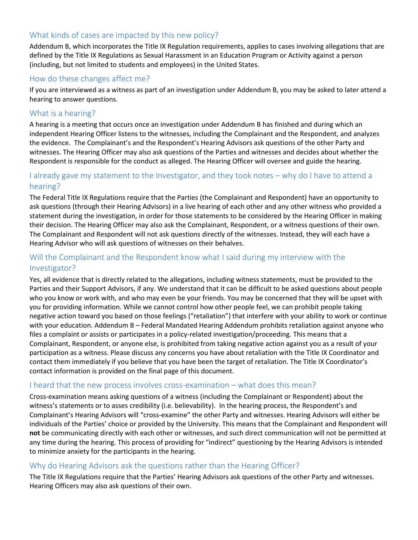## What kinds of cases are impacted by this new policy?

Addendum B, which incorporates the Title IX Regulation requirements, applies to cases involving allegations that are defined by the Title IX Regulations as Sexual Harassment in an Education Program or Activity against a person (including, but not limited to students and employees) in the United States.

#### How do these changes affect me?

If you are interviewed as a witness as part of an investigation under Addendum B, you may be asked to later attend a hearing to answer questions.

#### What is a hearing?

A hearing is a meeting that occurs once an investigation under Addendum B has finished and during which an independent Hearing Officer listens to the witnesses, including the Complainant and the Respondent, and analyzes the evidence. The Complainant's and the Respondent's Hearing Advisors ask questions of the other Party and witnesses. The Hearing Officer may also ask questions of the Parties and witnesses and decides about whether the Respondent is responsible for the conduct as alleged. The Hearing Officer will oversee and guide the hearing.

## I already gave my statement to the Investigator, and they took notes – why do I have to attend a hearing?

The Federal Title IX Regulations require that the Parties (the Complainant and Respondent) have an opportunity to ask questions (through their Hearing Advisors) in a live hearing of each other and any other witness who provided a statement during the investigation, in order for those statements to be considered by the Hearing Officer in making their decision. The Hearing Officer may also ask the Complainant, Respondent, or a witness questions of their own. The Complainant and Respondent will not ask questions directly of the witnesses. Instead, they will each have a Hearing Advisor who will ask questions of witnesses on their behalves.

## Will the Complainant and the Respondent know what I said during my interview with the Investigator?

Yes, all evidence that is directly related to the allegations, including witness statements, must be provided to the Parties and their Support Advisors, if any. We understand that it can be difficult to be asked questions about people who you know or work with, and who may even be your friends. You may be concerned that they will be upset with you for providing information. While we cannot control how other people feel, we can prohibit people taking negative action toward you based on those feelings ("retaliation") that interfere with your ability to work or continue with your education. Addendum B – Federal Mandated Hearing Addendum prohibits retaliation against anyone who files a complaint or assists or participates in a policy-related investigation/proceeding. This means that a Complainant, Respondent, or anyone else, is prohibited from taking negative action against you as a result of your participation as a witness. Please discuss any concerns you have about retaliation with the Title IX Coordinator and contact them immediately if you believe that you have been the target of retaliation. The Title IX Coordinator's contact information is provided on the final page of this document.

#### I heard that the new process involves cross-examination – what does this mean?

Cross-examination means asking questions of a witness (including the Complainant or Respondent) about the witness's statements or to asses credibility (i.e. believability). In the hearing process, the Respondent's and Complainant's Hearing Advisors will "cross-examine" the other Party and witnesses. Hearing Advisors will either be individuals of the Parties' choice or provided by the University. This means that the Complainant and Respondent will **not** be communicating directly with each other or witnesses, and such direct communication will not be permitted at any time during the hearing. This process of providing for "indirect" questioning by the Hearing Advisors is intended to minimize anxiety for the participants in the hearing.

#### Why do Hearing Advisors ask the questions rather than the Hearing Officer?

The Title IX Regulations require that the Parties' Hearing Advisors ask questions of the other Party and witnesses. Hearing Officers may also ask questions of their own.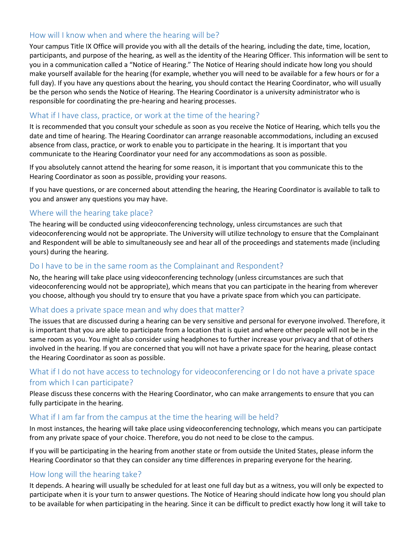## How will I know when and where the hearing will be?

Your campus Title IX Office will provide you with all the details of the hearing, including the date, time, location, participants, and purpose of the hearing, as well as the identity of the Hearing Officer. This information will be sent to you in a communication called a "Notice of Hearing." The Notice of Hearing should indicate how long you should make yourself available for the hearing (for example, whether you will need to be available for a few hours or for a full day). If you have any questions about the hearing, you should contact the Hearing Coordinator, who will usually be the person who sends the Notice of Hearing. The Hearing Coordinator is a university administrator who is responsible for coordinating the pre-hearing and hearing processes.

#### What if I have class, practice, or work at the time of the hearing?

It is recommended that you consult your schedule as soon as you receive the Notice of Hearing, which tells you the date and time of hearing. The Hearing Coordinator can arrange reasonable accommodations, including an excused absence from class, practice, or work to enable you to participate in the hearing. It is important that you communicate to the Hearing Coordinator your need for any accommodations as soon as possible.

If you absolutely cannot attend the hearing for some reason, it is important that you communicate this to the Hearing Coordinator as soon as possible, providing your reasons.

If you have questions, or are concerned about attending the hearing, the Hearing Coordinator is available to talk to you and answer any questions you may have.

#### Where will the hearing take place?

The hearing will be conducted using videoconferencing technology, unless circumstances are such that videoconferencing would not be appropriate. The University will utilize technology to ensure that the Complainant and Respondent will be able to simultaneously see and hear all of the proceedings and statements made (including yours) during the hearing.

#### Do I have to be in the same room as the Complainant and Respondent?

No, the hearing will take place using videoconferencing technology (unless circumstances are such that videoconferencing would not be appropriate), which means that you can participate in the hearing from wherever you choose, although you should try to ensure that you have a private space from which you can participate.

#### What does a private space mean and why does that matter?

The issues that are discussed during a hearing can be very sensitive and personal for everyone involved. Therefore, it is important that you are able to participate from a location that is quiet and where other people will not be in the same room as you. You might also consider using headphones to further increase your privacy and that of others involved in the hearing. If you are concerned that you will not have a private space for the hearing, please contact the Hearing Coordinator as soon as possible.

## What if I do not have access to technology for videoconferencing or I do not have a private space from which I can participate?

Please discuss these concerns with the Hearing Coordinator, who can make arrangements to ensure that you can fully participate in the hearing.

#### What if I am far from the campus at the time the hearing will be held?

In most instances, the hearing will take place using videoconferencing technology, which means you can participate from any private space of your choice. Therefore, you do not need to be close to the campus.

If you will be participating in the hearing from another state or from outside the United States, please inform the Hearing Coordinator so that they can consider any time differences in preparing everyone for the hearing.

#### How long will the hearing take?

It depends. A hearing will usually be scheduled for at least one full day but as a witness, you will only be expected to participate when it is your turn to answer questions. The Notice of Hearing should indicate how long you should plan to be available for when participating in the hearing. Since it can be difficult to predict exactly how long it will take to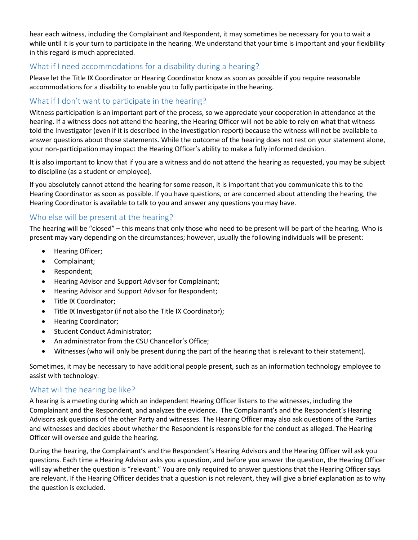hear each witness, including the Complainant and Respondent, it may sometimes be necessary for you to wait a while until it is your turn to participate in the hearing. We understand that your time is important and your flexibility in this regard is much appreciated.

## What if I need accommodations for a disability during a hearing?

Please let the Title IX Coordinator or Hearing Coordinator know as soon as possible if you require reasonable accommodations for a disability to enable you to fully participate in the hearing.

## What if I don't want to participate in the hearing?

Witness participation is an important part of the process, so we appreciate your cooperation in attendance at the hearing. If a witness does not attend the hearing, the Hearing Officer will not be able to rely on what that witness told the Investigator (even if it is described in the investigation report) because the witness will not be available to answer questions about those statements. While the outcome of the hearing does not rest on your statement alone, your non-participation may impact the Hearing Officer's ability to make a fully informed decision.

It is also important to know that if you are a witness and do not attend the hearing as requested, you may be subject to discipline (as a student or employee).

If you absolutely cannot attend the hearing for some reason, it is important that you communicate this to the Hearing Coordinator as soon as possible. If you have questions, or are concerned about attending the hearing, the Hearing Coordinator is available to talk to you and answer any questions you may have.

### Who else will be present at the hearing?

The hearing will be "closed" – this means that only those who need to be present will be part of the hearing. Who is present may vary depending on the circumstances; however, usually the following individuals will be present:

- Hearing Officer;
- Complainant;
- Respondent;
- Hearing Advisor and Support Advisor for Complainant;
- Hearing Advisor and Support Advisor for Respondent;
- Title IX Coordinator;
- Title IX Investigator (if not also the Title IX Coordinator);
- Hearing Coordinator;
- Student Conduct Administrator;
- An administrator from the CSU Chancellor's Office;
- Witnesses (who will only be present during the part of the hearing that is relevant to their statement).

Sometimes, it may be necessary to have additional people present, such as an information technology employee to assist with technology.

#### What will the hearing be like?

A hearing is a meeting during which an independent Hearing Officer listens to the witnesses, including the Complainant and the Respondent, and analyzes the evidence. The Complainant's and the Respondent's Hearing Advisors ask questions of the other Party and witnesses. The Hearing Officer may also ask questions of the Parties and witnesses and decides about whether the Respondent is responsible for the conduct as alleged. The Hearing Officer will oversee and guide the hearing.

During the hearing, the Complainant's and the Respondent's Hearing Advisors and the Hearing Officer will ask you questions. Each time a Hearing Advisor asks you a question, and before you answer the question, the Hearing Officer will say whether the question is "relevant." You are only required to answer questions that the Hearing Officer says are relevant. If the Hearing Officer decides that a question is not relevant, they will give a brief explanation as to why the question is excluded.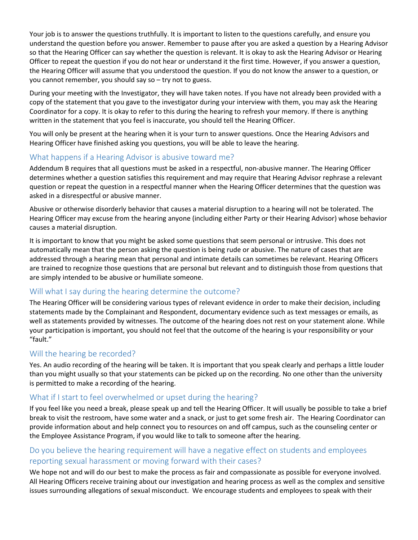Your job is to answer the questions truthfully. It is important to listen to the questions carefully, and ensure you understand the question before you answer. Remember to pause after you are asked a question by a Hearing Advisor so that the Hearing Officer can say whether the question is relevant. It is okay to ask the Hearing Advisor or Hearing Officer to repeat the question if you do not hear or understand it the first time. However, if you answer a question, the Hearing Officer will assume that you understood the question. If you do not know the answer to a question, or you cannot remember, you should say so – try not to guess.

During your meeting with the Investigator, they will have taken notes. If you have not already been provided with a copy of the statement that you gave to the investigator during your interview with them, you may ask the Hearing Coordinator for a copy. It is okay to refer to this during the hearing to refresh your memory. If there is anything written in the statement that you feel is inaccurate, you should tell the Hearing Officer.

You will only be present at the hearing when it is your turn to answer questions. Once the Hearing Advisors and Hearing Officer have finished asking you questions, you will be able to leave the hearing.

### What happens if a Hearing Advisor is abusive toward me?

Addendum B requires that all questions must be asked in a respectful, non-abusive manner. The Hearing Officer determines whether a question satisfies this requirement and may require that Hearing Advisor rephrase a relevant question or repeat the question in a respectful manner when the Hearing Officer determines that the question was asked in a disrespectful or abusive manner.

Abusive or otherwise disorderly behavior that causes a material disruption to a hearing will not be tolerated. The Hearing Officer may excuse from the hearing anyone (including either Party or their Hearing Advisor) whose behavior causes a material disruption.

It is important to know that you might be asked some questions that seem personal or intrusive. This does not automatically mean that the person asking the question is being rude or abusive. The nature of cases that are addressed through a hearing mean that personal and intimate details can sometimes be relevant. Hearing Officers are trained to recognize those questions that are personal but relevant and to distinguish those from questions that are simply intended to be abusive or humiliate someone.

## Will what I say during the hearing determine the outcome?

The Hearing Officer will be considering various types of relevant evidence in order to make their decision, including statements made by the Complainant and Respondent, documentary evidence such as text messages or emails, as well as statements provided by witnesses. The outcome of the hearing does not rest on your statement alone. While your participation is important, you should not feel that the outcome of the hearing is your responsibility or your "fault."

#### Will the hearing be recorded?

Yes. An audio recording of the hearing will be taken. It is important that you speak clearly and perhaps a little louder than you might usually so that your statements can be picked up on the recording. No one other than the university is permitted to make a recording of the hearing.

#### What if I start to feel overwhelmed or upset during the hearing?

If you feel like you need a break, please speak up and tell the Hearing Officer. It will usually be possible to take a brief break to visit the restroom, have some water and a snack, or just to get some fresh air. The Hearing Coordinator can provide information about and help connect you to resources on and off campus, such as the counseling center or the Employee Assistance Program, if you would like to talk to someone after the hearing.

## Do you believe the hearing requirement will have a negative effect on students and employees reporting sexual harassment or moving forward with their cases?

We hope not and will do our best to make the process as fair and compassionate as possible for everyone involved. All Hearing Officers receive training about our investigation and hearing process as well as the complex and sensitive issues surrounding allegations of sexual misconduct. We encourage students and employees to speak with their